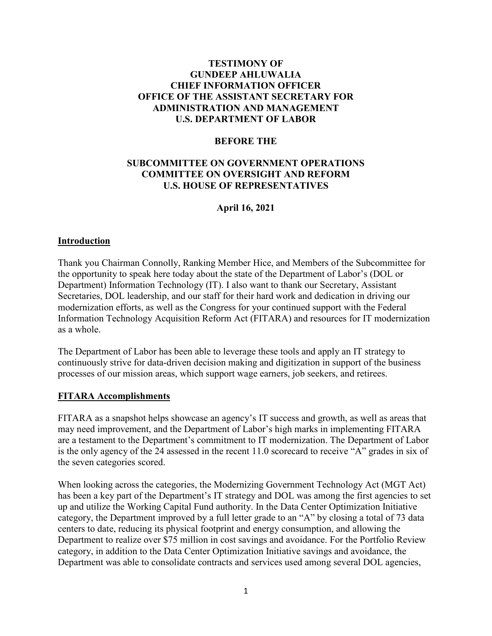### **TESTIMONY OF GUNDEEP AHLUWALIA CHIEF INFORMATION OFFICER OFFICE OF THE ASSISTANT SECRETARY FOR ADMINISTRATION AND MANAGEMENT U.S. DEPARTMENT OF LABOR**

#### **BEFORE THE**

### **SUBCOMMITTEE ON GOVERNMENT OPERATIONS COMMITTEE ON OVERSIGHT AND REFORM U.S. HOUSE OF REPRESENTATIVES**

### **April 16, 2021**

### **Introduction**

Thank you Chairman Connolly, Ranking Member Hice, and Members of the Subcommittee for the opportunity to speak here today about the state of the Department of Labor's (DOL or Department) Information Technology (IT). I also want to thank our Secretary, Assistant Secretaries, DOL leadership, and our staff for their hard work and dedication in driving our modernization efforts, as well as the Congress for your continued support with the Federal Information Technology Acquisition Reform Act (FITARA) and resources for IT modernization as a whole.

The Department of Labor has been able to leverage these tools and apply an IT strategy to continuously strive for data-driven decision making and digitization in support of the business processes of our mission areas, which support wage earners, job seekers, and retirees.

#### **FITARA Accomplishments**

FITARA as a snapshot helps showcase an agency's IT success and growth, as well as areas that may need improvement, and the Department of Labor's high marks in implementing FITARA are a testament to the Department's commitment to IT modernization. The Department of Labor is the only agency of the 24 assessed in the recent 11.0 scorecard to receive "A" grades in six of the seven categories scored.

When looking across the categories, the Modernizing Government Technology Act (MGT Act) has been a key part of the Department's IT strategy and DOL was among the first agencies to set up and utilize the Working Capital Fund authority. In the Data Center Optimization Initiative category, the Department improved by a full letter grade to an "A" by closing a total of 73 data centers to date, reducing its physical footprint and energy consumption, and allowing the Department to realize over \$75 million in cost savings and avoidance. For the Portfolio Review category, in addition to the Data Center Optimization Initiative savings and avoidance, the Department was able to consolidate contracts and services used among several DOL agencies,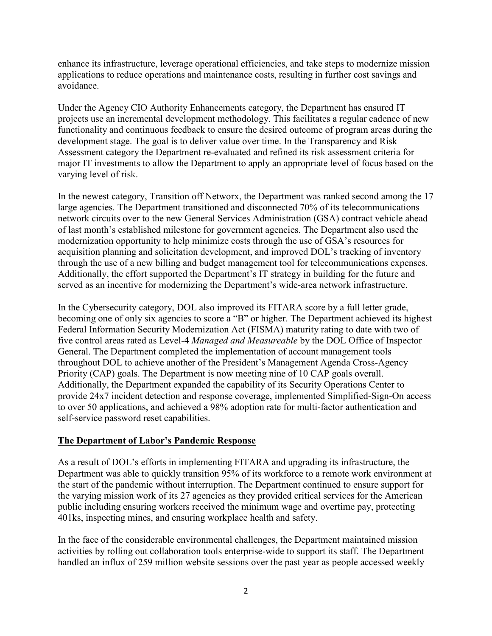enhance its infrastructure, leverage operational efficiencies, and take steps to modernize mission applications to reduce operations and maintenance costs, resulting in further cost savings and avoidance.

Under the Agency CIO Authority Enhancements category, the Department has ensured IT projects use an incremental development methodology. This facilitates a regular cadence of new functionality and continuous feedback to ensure the desired outcome of program areas during the development stage. The goal is to deliver value over time. In the Transparency and Risk Assessment category the Department re-evaluated and refined its risk assessment criteria for major IT investments to allow the Department to apply an appropriate level of focus based on the varying level of risk.

In the newest category, Transition off Networx, the Department was ranked second among the 17 large agencies. The Department transitioned and disconnected 70% of its telecommunications network circuits over to the new General Services Administration (GSA) contract vehicle ahead of last month's established milestone for government agencies. The Department also used the modernization opportunity to help minimize costs through the use of GSA's resources for acquisition planning and solicitation development, and improved DOL's tracking of inventory through the use of a new billing and budget management tool for telecommunications expenses. Additionally, the effort supported the Department's IT strategy in building for the future and served as an incentive for modernizing the Department's wide-area network infrastructure.

In the Cybersecurity category, DOL also improved its FITARA score by a full letter grade, becoming one of only six agencies to score a "B" or higher. The Department achieved its highest Federal Information Security Modernization Act (FISMA) maturity rating to date with two of five control areas rated as Level-4 *Managed and Measureable* by the DOL Office of Inspector General. The Department completed the implementation of account management tools throughout DOL to achieve another of the President's Management Agenda Cross-Agency Priority (CAP) goals. The Department is now meeting nine of 10 CAP goals overall. Additionally, the Department expanded the capability of its Security Operations Center to provide 24x7 incident detection and response coverage, implemented Simplified-Sign-On access to over 50 applications, and achieved a 98% adoption rate for multi-factor authentication and self-service password reset capabilities.

# **The Department of Labor's Pandemic Response**

As a result of DOL's efforts in implementing FITARA and upgrading its infrastructure, the Department was able to quickly transition 95% of its workforce to a remote work environment at the start of the pandemic without interruption. The Department continued to ensure support for the varying mission work of its 27 agencies as they provided critical services for the American public including ensuring workers received the minimum wage and overtime pay, protecting 401ks, inspecting mines, and ensuring workplace health and safety.

In the face of the considerable environmental challenges, the Department maintained mission activities by rolling out collaboration tools enterprise-wide to support its staff. The Department handled an influx of 259 million website sessions over the past year as people accessed weekly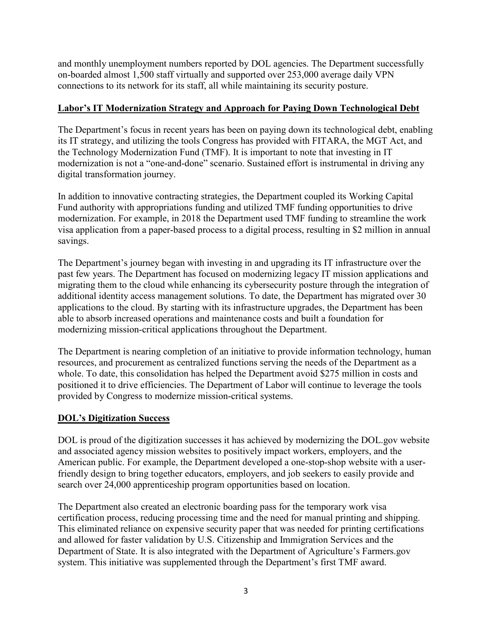and monthly unemployment numbers reported by DOL agencies. The Department successfully on-boarded almost 1,500 staff virtually and supported over 253,000 average daily VPN connections to its network for its staff, all while maintaining its security posture.

# **Labor's IT Modernization Strategy and Approach for Paying Down Technological Debt**

The Department's focus in recent years has been on paying down its technological debt, enabling its IT strategy, and utilizing the tools Congress has provided with FITARA, the MGT Act, and the Technology Modernization Fund (TMF). It is important to note that investing in IT modernization is not a "one-and-done" scenario. Sustained effort is instrumental in driving any digital transformation journey.

In addition to innovative contracting strategies, the Department coupled its Working Capital Fund authority with appropriations funding and utilized TMF funding opportunities to drive modernization. For example, in 2018 the Department used TMF funding to streamline the work visa application from a paper-based process to a digital process, resulting in \$2 million in annual savings.

The Department's journey began with investing in and upgrading its IT infrastructure over the past few years. The Department has focused on modernizing legacy IT mission applications and migrating them to the cloud while enhancing its cybersecurity posture through the integration of additional identity access management solutions. To date, the Department has migrated over 30 applications to the cloud. By starting with its infrastructure upgrades, the Department has been able to absorb increased operations and maintenance costs and built a foundation for modernizing mission-critical applications throughout the Department.

The Department is nearing completion of an initiative to provide information technology, human resources, and procurement as centralized functions serving the needs of the Department as a whole. To date, this consolidation has helped the Department avoid \$275 million in costs and positioned it to drive efficiencies. The Department of Labor will continue to leverage the tools provided by Congress to modernize mission-critical systems.

# **DOL's Digitization Success**

DOL is proud of the digitization successes it has achieved by modernizing the DOL.gov website and associated agency mission websites to positively impact workers, employers, and the American public. For example, the Department developed a one-stop-shop website with a userfriendly design to bring together educators, employers, and job seekers to easily provide and search over 24,000 apprenticeship program opportunities based on location.

The Department also created an electronic boarding pass for the temporary work visa certification process, reducing processing time and the need for manual printing and shipping. This eliminated reliance on expensive security paper that was needed for printing certifications and allowed for faster validation by U.S. Citizenship and Immigration Services and the Department of State. It is also integrated with the Department of Agriculture's Farmers.gov system. This initiative was supplemented through the Department's first TMF award.